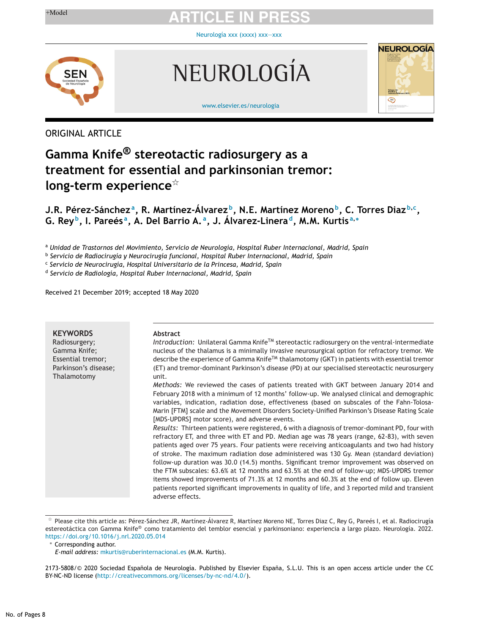[Neurología](https://doi.org/10.1016/j.nrleng.2020.05.025) xxx (xxxx) xxx-xxx



NEUROLOGÍA



[www.elsevier.es/neurologia](http://www.elsevier.es/neurologia)

# ORIGINAL ARTICLE

# **Gamma Knife® stereotactic radiosurgery as a treatment for essential and parkinsonian tremor: long-term experience**-

# **J.R. Pérez-Sánchez a, R. Martínez-Álvarez b, N.E. Martínez Moreno b, C. Torres Diaz <sup>b</sup>,c, G. Rey b, I. Pareés a, A. Del Barrio A. a, J. Álvarez-Linera d, M.M. Kurtis <sup>a</sup>,<sup>∗</sup>**

<sup>a</sup> *Unidad de Trastornos del Movimiento, Servicio de Neurología, Hospital Ruber Internacional, Madrid, Spain*

<sup>b</sup> *Servicio de Radiocirugía y Neurocirugía funcional, Hospital Ruber Internacional, Madrid, Spain*

<sup>c</sup> *Servicio de Neurocirugía, Hospital Universitario de la Princesa, Madrid, Spain*

<sup>d</sup> *Servicio de Radiología, Hospital Ruber Internacional, Madrid, Spain*

Received 21 December 2019; accepted 18 May 2020

| <b>KEYWORDS</b><br>Radiosurgery;<br>Gamma Knife;<br>Essential tremor;<br>Parkinson's disease;<br>Thalamotomy | <b>Abstract</b><br>Introduction: Unilateral Gamma Knife <sup>TM</sup> stereotactic radiosurgery on the ventral-intermediate<br>nucleus of the thalamus is a minimally invasive neurosurgical option for refractory tremor. We<br>describe the experience of Gamma Knife™ thalamotomy (GKT) in patients with essential tremor<br>(ET) and tremor-dominant Parkinson's disease (PD) at our specialised stereotactic neurosurgery                                                                                                                                                                                                                                                                                                                                                                            |
|--------------------------------------------------------------------------------------------------------------|-----------------------------------------------------------------------------------------------------------------------------------------------------------------------------------------------------------------------------------------------------------------------------------------------------------------------------------------------------------------------------------------------------------------------------------------------------------------------------------------------------------------------------------------------------------------------------------------------------------------------------------------------------------------------------------------------------------------------------------------------------------------------------------------------------------|
|                                                                                                              | unit.<br>Methods: We reviewed the cases of patients treated with GKT between January 2014 and<br>February 2018 with a minimum of 12 months' follow-up. We analysed clinical and demographic<br>variables, indication, radiation dose, effectiveness (based on subscales of the Fahn-Tolosa-<br>Marin [FTM] scale and the Movement Disorders Society-Unified Parkinson's Disease Rating Scale<br>[MDS-UPDRS] motor score), and adverse events.                                                                                                                                                                                                                                                                                                                                                             |
|                                                                                                              | Results: Thirteen patients were registered, 6 with a diagnosis of tremor-dominant PD, four with<br>refractory ET, and three with ET and PD. Median age was 78 years (range, 62-83), with seven<br>patients aged over 75 years. Four patients were receiving anticoagulants and two had history<br>of stroke. The maximum radiation dose administered was 130 Gy. Mean (standard deviation)<br>follow-up duration was 30.0 (14.5) months. Significant tremor improvement was observed on<br>the FTM subscales: 63.6% at 12 months and 63.5% at the end of follow-up; MDS-UPDRS tremor<br>items showed improvements of 71.3% at 12 months and 60.3% at the end of follow up. Eleven<br>patients reported significant improvements in quality of life, and 3 reported mild and transient<br>adverse effects. |

 $^\star$  Please cite this article as: Pérez-Sánchez JR, Martínez-Álvarez R, Martínez Moreno NE, Torres Diaz C, Rey G, Pareés I, et al. Radiocirugía estereotáctica con Gamma Knife® como tratamiento del temblor esencial y parkinsoniano: experiencia a largo plazo. Neurología. 2022. <https://doi.org/10.1016/j.nrl.2020.05.014>

<sup>∗</sup> Corresponding author.

*E-mail address:* [mkurtis@ruberinternacional.es](mailto:mkurtis@ruberinternacional.es) (M.M. Kurtis).

<sup>2173-5808/© 2020</sup> Sociedad Española de Neurología. Published by Elsevier España, S.L.U. This is an open access article under the CC BY-NC-ND license (<http://creativecommons.org/licenses/by-nc-nd/4.0/>).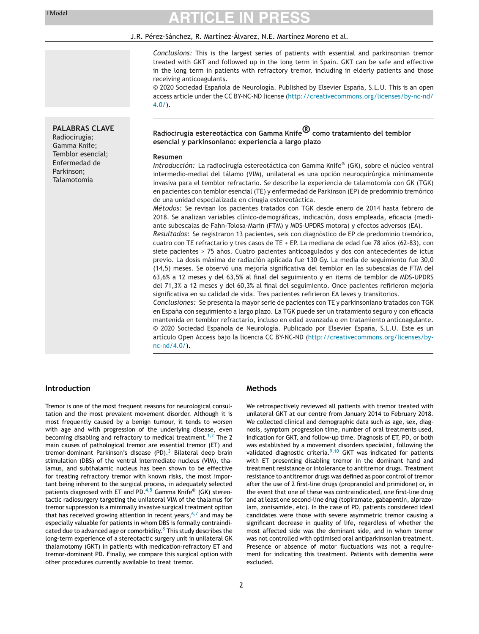**PALABRAS CLAVE** Radiocirugía; Gamma Knife; Temblor esencial; Enfermedad de Parkinson; Talamotomía

# **ARTICLE IN PRESS**

#### J.R. Pérez-Sánchez, R. Martínez-Álvarez, N.E. Martínez Moreno et al.

*Conclusions:* This is the largest series of patients with essential and parkinsonian tremor treated with GKT and followed up in the long term in Spain. GKT can be safe and effective in the long term in patients with refractory tremor, including in elderly patients and those receiving anticoagulants.

© 2020 Sociedad Española de Neurología. Published by Elsevier España, S.L.U. This is an open access article under the CC BY-NC-ND license ([http://creativecommons.org/licenses/by-nc-nd/](http://creativecommons.org/licenses/by-nc-nd/4.0/)  $4.0/$ ).

# **Radiocirugía estereotáctica con Gamma Knife® como tratamiento del temblor esencial y parkinsoniano: experiencia a largo plazo**

#### **Resumen**

*Introducción:* La radiocirugía estereotáctica con Gamma Knife® (GK), sobre el núcleo ventral intermedio-medial del tálamo (VIM), unilateral es una opción neuroquirúrgica mínimamente invasiva para el temblor refractario. Se describe la experiencia de talamotomía con GK (TGK) en pacientes con temblor esencial (TE) y enfermedad de Parkinson (EP) de predominio tremórico de una unidad especializada en cirugía estereotáctica.

*Métodos:* Se revisan los pacientes tratados con TGK desde enero de 2014 hasta febrero de 2018. Se analizan variables clínico-demográficas, indicación, dosis empleada, eficacia (mediante subescalas de Fahn-Tolosa-Marin (FTM) y MDS-UPDRS motora) y efectos adversos (EA).

*Resultados:* Se registraron 13 pacientes, seis con diagnóstico de EP de predominio tremórico, cuatro con TE refractario y tres casos de TE + EP. La mediana de edad fue 78 años (62-83), con siete pacientes > 75 años. Cuatro pacientes anticoagulados y dos con antecedentes de ictus previo. La dosis máxima de radiación aplicada fue 130 Gy. La media de seguimiento fue 30,0 (14,5) meses. Se observó una mejoría significativa del temblor en las subescalas de FTM del 63,6% a 12 meses y del 63,5% al final del seguimiento y en items de temblor de MDS-UPDRS del 71,3% a 12 meses y del 60,3% al final del seguimiento. Once pacientes refirieron mejoría significativa en su calidad de vida. Tres pacientes refirieron EA leves y transitorios.

*Conclusiones:* Se presenta la mayor serie de pacientes con TE y parkinsoniano tratados con TGK en España con seguimiento a largo plazo. La TGK puede ser un tratamiento seguro y con eficacia mantenida en temblor refractario, incluso en edad avanzada o en tratamiento anticoagulante. © 2020 Sociedad Española de Neurología. Publicado por Elsevier España, S.L.U. Este es un artículo Open Access bajo la licencia CC BY-NC-ND [\(http://creativecommons.org/licenses/by](http://creativecommons.org/licenses/by-nc-nd/4.0/)[nc-nd/4.0/](http://creativecommons.org/licenses/by-nc-nd/4.0/)).

### **Introduction**

Tremor is one of the most frequent reasons for neurological consultation and the most prevalent movement disorder. Although it is most frequently caused by a benign tumour, it tends to worsen with age and with progression of the underlying disease, even becoming disabling and refractory to medical treatment.<sup>1,2</sup> The 2 main causes of pathological tremor are essential tremor (ET) and tremor-dominant Parkinson's disease  $(PD)$ .<sup>3</sup> Bilateral deep brain stimulation (DBS) of the ventral intermediate nucleus (VIM), thalamus, and subthalamic nucleus has been shown to be effective for treating refractory tremor with known risks, the most important being inherent to the surgical process, in adequately selected patients diagnosed with ET and PD. $4,5$  Gamma Knife® (GK) stereotactic radiosurgery targeting the unilateral VIM of the thalamus for tremor suppression is a minimally invasive surgical treatment option that has received growing attention in recent years,  $6,7$  and may be especially valuable for patients in whom DBS is formally contraindicated due to advanced age or comorbidity.<sup>8</sup> This study describes the long-term experience of a stereotactic surgery unit in unilateral GK thalamotomy (GKT) in patients with medication-refractory ET and tremor-dominant PD. Finally, we compare this surgical option with other procedures currently available to treat tremor.

### **Methods**

We retrospectively reviewed all patients with tremor treated with unilateral GKT at our centre from January 2014 to February 2018. We collected clinical and demographic data such as age, sex, diagnosis, symptom progression time, number of oral treatments used, indication for GKT, and follow-up time. Diagnosis of ET, PD, or both was established by a movement disorders specialist, following the validated diagnostic criteria. $9,10$  GKT was indicated for patients with ET presenting disabling tremor in the dominant hand and treatment resistance or intolerance to antitremor drugs. Treatment resistance to antitremor drugs was defined as poor control of tremor after the use of 2 first-line drugs (propranolol and primidone) or, in the event that one of these was contraindicated, one first-line drug and at least one second-line drug (topiramate, gabapentin, alprazolam, zonisamide, etc). In the case of PD, patients considered ideal candidates were those with severe asymmetric tremor causing a significant decrease in quality of life, regardless of whether the most affected side was the dominant side, and in whom tremor was not controlled with optimised oral antiparkinsonian treatment. Presence or absence of motor fluctuations was not a requirement for indicating this treatment. Patients with dementia were excluded.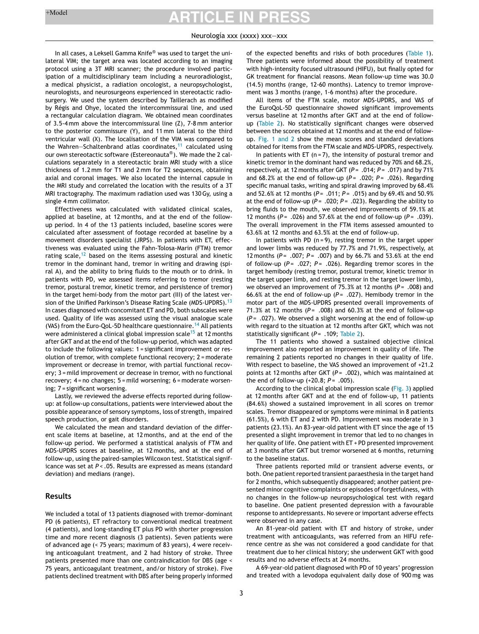#### Neurología xxx (xxxx) xxx—xxx

In all cases, a Leksell Gamma Knife® was used to target the unilateral VIM; the target area was located according to an imaging protocol using a 3T MRI scanner; the procedure involved participation of a multidisciplinary team including a neuroradiologist, a medical physicist, a radiation oncologist, a neuropsychologist, neurologists, and neurosurgeons experienced in stereotactic radiosurgery. We used the system described by Taillerach as modified by Régis and Ohye, located the intercommissural line, and used a rectangular calculation diagram. We obtained mean coordinates of 3.5-4 mm above the intercommissural line (Z), 7-8 mm anterior to the posterior commissure (Y), and 11 mm lateral to the third ventricular wall (X). The localisation of the VIM was compared to the Wahren-Schaltenbrand atlas coordinates, $11$  calculated using our own stereotactic software (Estereonauta®). We made the 2 calculations separately in a stereotactic brain MRI study with a slice thickness of 1.2 mm for T1 and 2 mm for T2 sequences, obtaining axial and coronal images. We also located the internal capsule in the MRI study and correlated the location with the results of a 3T MRI tractography. The maximum radiation used was 130Gy, using a single 4 mm collimator.

Effectiveness was calculated with validated clinical scales, applied at baseline, at 12 months, and at the end of the followup period. In 4 of the 13 patients included, baseline scores were calculated after assessment of footage recorded at baseline by a movement disorders specialist (JRPS). In patients with ET, effectiveness was evaluated using the Fahn-Tolosa-Marin (FTM) tremor rating scale, $12$  based on the items assessing postural and kinetic tremor in the dominant hand, tremor in writing and drawing (spiral A), and the ability to bring fluids to the mouth or to drink. In patients with PD, we assessed items referring to tremor (resting tremor, postural tremor, kinetic tremor, and persistence of tremor) in the target hemi-body from the motor part (III) of the latest ver-sion of the Unified Parkinson's Disease Rating Scale (MDS-UPDRS).<sup>[13](#page-6-0)</sup> In cases diagnosed with concomitant ET and PD, both subscales were used. Quality of life was assessed using the visual analogue scale (VAS) from the Euro-QoL-5D healthcare questionnaire.<sup>[14](#page-6-0)</sup> All patients were administered a clinical global impression scale<sup>[15](#page-6-0)</sup> at 12 months after GKT and at the end of the follow-up period, which was adapted to include the following values: 1 = significant improvement or resolution of tremor, with complete functional recovery; 2 = moderate improvement or decrease in tremor, with partial functional recovery; 3 = mild improvement or decrease in tremor, with no functional recovery; 4 = no changes; 5 = mild worsening; 6 = moderate worsening; 7 = significant worsening.

Lastly, we reviewed the adverse effects reported during followup: at follow-up consultations, patients were interviewed about the possible appearance of sensory symptoms, loss of strength, impaired speech production, or gait disorders.

We calculated the mean and standard deviation of the different scale items at baseline, at 12 months, and at the end of the follow-up period. We performed a statistical analysis of FTM and MDS-UPDRS scores at baseline, at 12 months, and at the end of follow-up, using the paired-samples Wilcoxon test. Statistical significance was set at *P* < .05. Results are expressed as means (standard deviation) and medians (range).

#### **Results**

We included a total of 13 patients diagnosed with tremor-dominant PD (6 patients), ET refractory to conventional medical treatment (4 patients), and long-standing ET plus PD with shorter progression time and more recent diagnosis (3 patients). Seven patients were of advanced age (< 75 years; maximum of 83 years), 4 were receiving anticoagulant treatment, and 2 had history of stroke. Three patients presented more than one contraindication for DBS (age < 75 years, anticoagulant treatment, and/or history of stroke). Five patients declined treatment with DBS after being properly informed of the expected benefits and risks of both procedures [\(Table](#page-3-0) 1). Three patients were informed about the possibility of treatment with high-intensity focused ultrasound (HIFU), but finally opted for GK treatment for financial reasons. Mean follow-up time was 30.0 (14.5) months (range, 12-60 months). Latency to tremor improvement was 3 months (range, 1-6 months) after the procedure.

All items of the FTM scale, motor MDS-UPDRS, and VAS of the EuroQoL-5D questionnaire showed significant improvements versus baseline at 12 months after GKT and at the end of followup [\(Table](#page-3-0) 2). No statistically significant changes were observed between the scores obtained at 12 months and at the end of followup. [Fig.](#page-4-0) 1 and 2 show the mean scores and standard deviations obtained for items from the FTM scale and MDS-UPDRS, respectively.

In patients with ET ( $n = 7$ ), the intensity of postural tremor and kinetic tremor in the dominant hand was reduced by 70% and 68.2%, respectively, at 12 months after GKT (*P* = .014; *P* = .017) and by 71% and 68.2% at the end of follow-up ( $P = .020$ ;  $P = .026$ ). Regarding specific manual tasks, writing and spiral drawing improved by 68.4% and 52.6% at 12 months (*P* = .011; *P* = .015) and by 69.4% and 50.9% at the end of follow-up ( $P = .020$ ;  $P = .023$ ). Regarding the ability to bring fluids to the mouth, we observed improvements of 59.1% at 12 months ( $P = .026$ ) and 57.6% at the end of follow-up ( $P = .039$ ). The overall improvement in the FTM items assessed amounted to 63.6% at 12 months and 63.5% at the end of follow-up.

In patients with PD ( $n = 9$ ), resting tremor in the target upper and lower limbs was reduced by 77.7% and 71.9%, respectively, at 12 months (*P* = .007; *P* = .007) and by 66.7% and 53.6% at the end of follow-up (*P* = .027; *P* = .026). Regarding tremor scores in the target hemibody (resting tremor, postural tremor, kinetic tremor in the target upper limb, and resting tremor in the target lower limb), we observed an improvement of 75.3% at 12 months ( $P = .008$ ) and 66.6% at the end of follow-up (*P* = .027). Hemibody tremor in the motor part of the MDS-UPDRS presented overall improvements of 71.3% at 12 months ( $P = .008$ ) and 60.3% at the end of follow-up  $(P = .027)$ . We observed a slight worsening at the end of follow-up with regard to the situation at 12 months after GKT, which was not statistically significant (*P* = .109; [Table](#page-3-0) 2).

The 11 patients who showed a sustained objective clinical improvement also reported an improvement in quality of life. The remaining 2 patients reported no changes in their quality of life. With respect to baseline, the VAS showed an improvement of +21.2 points at 12 months after GKT (*P* = .002), which was maintained at the end of follow-up (+20.8; *P* = .005).

According to the clinical global impression scale [\(Fig.](#page-5-0) 3) applied at 12 months after GKT and at the end of follow-up, 11 patients (84.6%) showed a sustained improvement in all scores on tremor scales. Tremor disappeared or symptoms were minimal in 8 patients (61.5%), 6 with ET and 2 with PD. Improvement was moderate in 3 patients (23.1%). An 83-year-old patient with ET since the age of 15 presented a slight improvement in tremor that led to no changes in her quality of life. One patient with ET + PD presented improvement at 3 months after GKT but tremor worsened at 6 months, returning to the baseline status.

Three patients reported mild or transient adverse events, or both. One patient reported transient paraesthesia in the target hand for 2 months, which subsequently disappeared; another patient presented minor cognitive complaints or episodes of forgetfulness, with no changes in the follow-up neuropsychological test with regard to baseline. One patient presented depression with a favourable response to antidepressants. No severe or important adverse effects were observed in any case.

An 81-year-old patient with ET and history of stroke, under treatment with anticoagulants, was referred from an HIFU reference centre as she was not considered a good candidate for that treatment due to her clinical history; she underwent GKT with good results and no adverse effects at 24 months.

A 69-year-old patient diagnosed with PD of 10 years' progression and treated with a levodopa equivalent daily dose of 900 mg was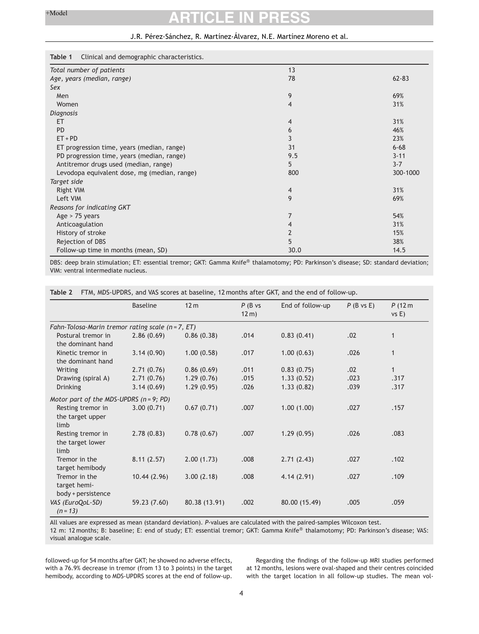### J.R. Pérez-Sánchez, R. Martínez-Álvarez, N.E. Martínez Moreno et al.

### <span id="page-3-0"></span>**Table 1** Clinical and demographic characteristics.

| rapie i comedi and demographic characteristics. |                |           |
|-------------------------------------------------|----------------|-----------|
| Total number of patients                        | 13             |           |
| Age, years (median, range)                      | 78             | $62 - 83$ |
| Sex                                             |                |           |
| Men                                             | 9              | 69%       |
| Women                                           | 4              | 31%       |
| Diagnosis                                       |                |           |
| ET                                              | 4              | 31%       |
| <b>PD</b>                                       | 6              | 46%       |
| $ET + PD$                                       | 3              | 23%       |
| ET progression time, years (median, range)      | 31             | $6 - 68$  |
| PD progression time, years (median, range)      | 9.5            | $3 - 11$  |
| Antitremor drugs used (median, range)           | 5              | $3 - 7$   |
| Levodopa equivalent dose, mg (median, range)    | 800            | 300-1000  |
| Target side                                     |                |           |
| Right VIM                                       | $\overline{4}$ | 31%       |
| Left VIM                                        | 9              | 69%       |
| Reasons for indicating GKT                      |                |           |
| Age $> 75$ years                                | 7              | 54%       |
| Anticoagulation                                 | 4              | 31%       |
| History of stroke                               | 2              | 15%       |
| Rejection of DBS                                | 5              | 38%       |
| Follow-up time in months (mean, SD)             | 30.0           | 14.5      |
|                                                 |                |           |

DBS: deep brain stimulation; ET: essential tremor; GKT: Gamma Knife® thalamotomy; PD: Parkinson's disease; SD: standard deviation; VIM: ventral intermediate nucleus.

|  |  |  |  |  | Table 2   FTM. MDS-UPDRS. and VAS scores at baseline. 12 months after GKT, and the end of follow-up. |
|--|--|--|--|--|------------------------------------------------------------------------------------------------------|
|--|--|--|--|--|------------------------------------------------------------------------------------------------------|

|                                                     | <b>Baseline</b> | 12 <sub>m</sub> | $P$ (B vs<br>$12 \text{ m}$ ) | End of follow-up | $P$ (B vs E) | P(12m)<br>vs E) |
|-----------------------------------------------------|-----------------|-----------------|-------------------------------|------------------|--------------|-----------------|
| Fahn-Tolosa-Marin tremor rating scale $(n = 7, ET)$ |                 |                 |                               |                  |              |                 |
| Postural tremor in<br>the dominant hand             | 2.86(0.69)      | 0.86(0.38)      | .014                          | 0.83(0.41)       | .02          | 1               |
| Kinetic tremor in<br>the dominant hand              | 3.14(0.90)      | 1.00(0.58)      | .017                          | 1.00(0.63)       | .026         | $\mathbf{1}$    |
| Writing                                             | 2.71(0.76)      | 0.86(0.69)      | .011                          | 0.83(0.75)       | .02          | $\mathbf{1}$    |
| Drawing (spiral A)                                  | 2.71(0.76)      | 1.29(0.76)      | .015                          | 1.33(0.52)       | .023         | .317            |
| <b>Drinking</b>                                     | 3.14(0.69)      | 1.29(0.95)      | .026                          | 1.33(0.82)       | .039         | .317            |
| Motor part of the MDS-UPDRS $(n = 9; PD)$           |                 |                 |                               |                  |              |                 |
| Resting tremor in<br>the target upper<br>limb       | 3.00(0.71)      | 0.67(0.71)      | .007                          | 1.00(1.00)       | .027         | .157            |
| Resting tremor in<br>the target lower<br>limb       | 2.78(0.83)      | 0.78(0.67)      | .007                          | 1.29(0.95)       | .026         | .083            |
| Tremor in the<br>target hemibody                    | 8.11(2.57)      | 2.00(1.73)      | .008                          | 2.71(2.43)       | .027         | .102            |
| Tremor in the<br>target hemi-<br>body + persistence | 10.44(2.96)     | 3.00(2.18)      | .008                          | 4.14(2.91)       | .027         | .109            |
| VAS (EuroQoL-5D)<br>$(n = 13)$                      | 59.23 (7.60)    | 80.38 (13.91)   | .002                          | 80.00 (15.49)    | .005         | .059            |

All values are expressed as mean (standard deviation). *P*-values are calculated with the paired-samples Wilcoxon test.

12 m: 12 months; B: baseline; E: end of study; ET: essential tremor; GKT: Gamma Knife® thalamotomy; PD: Parkinson's disease; VAS: visual analogue scale.

followed-up for 54 months after GKT; he showed no adverse effects, with a 76.9% decrease in tremor (from 13 to 3 points) in the target hemibody, according to MDS-UPDRS scores at the end of follow-up.

Regarding the findings of the follow-up MRI studies performed at 12 months, lesions were oval-shaped and their centres coincided with the target location in all follow-up studies. The mean vol-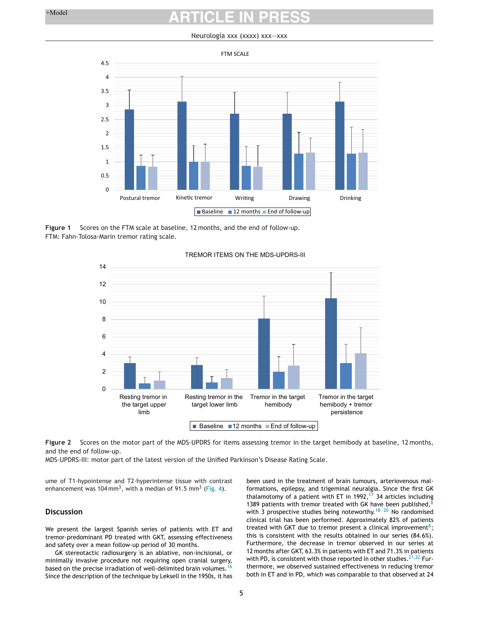#### Neurología xxx (xxxx) xxx—xxx

<span id="page-4-0"></span>

**Figure 1** Scores on the FTM scale at baseline, 12 months, and the end of follow-up. FTM: Fahn-Tolosa-Marin tremor rating scale.



#### TREMOR ITEMS ON THE MDS-UPDRS-III

**Figure 2** Scores on the motor part of the MDS-UPDRS for items assessing tremor in the target hemibody at baseline, 12 months, and the end of follow-up.

MDS-UPDRS-III: motor part of the latest version of the Unified Parkinson's Disease Rating Scale.

ume of T1-hypointense and T2-hyperintense tissue with contrast enhancement was 104 mm<sup>3</sup>, with a median of 91.5 mm<sup>3</sup> [\(Fig.](#page-5-0) 4).

### **Discussion**

We present the largest Spanish series of patients with ET and tremor-predominant PD treated with GKT, assessing effectiveness and safety over a mean follow-up period of 30 months.

GK stereotactic radiosurgery is an ablative, non-incisional, or minimally invasive procedure not requiring open cranial surgery, based on the precise irradiation of well-delimited brain volumes.<sup>[16](#page-6-0)</sup> Since the description of the technique by Leksell in the 1950s, it has been used in the treatment of brain tumours, arteriovenous malformations, epilepsy, and trigeminal neuralgia. Since the first GK thalamotomy of a patient with ET in 1992,  $17$  34 articles including 1389 patients with tremor treated with GK have been published, $8$ with 3 prospective studies being noteworthy. $18-20$  No randomised clinical trial has been performed. Approximately 82% of patients treated with GKT due to tremor present a clinical improvement<sup>8</sup>; this is consistent with the results obtained in our series (84.6%). Furthermore, the decrease in tremor observed in our series at 12 months after GKT, 63.3% in patients with ET and 71.3% in patients with PD, is consistent with those reported in other studies.  $21,22$  Furthermore, we observed sustained effectiveness in reducing tremor both in ET and in PD, which was comparable to that observed at 24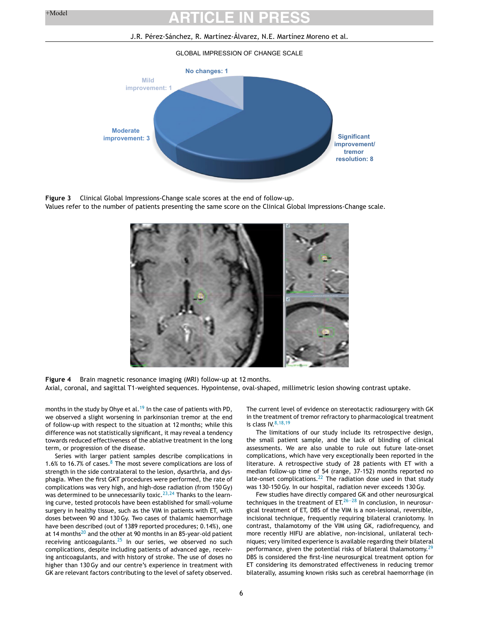# <span id="page-5-0"></span>**ARTICLE IN PRESS**

#### J.R. Pérez-Sánchez, R. Martínez-Álvarez, N.E. Martínez Moreno et al.

#### GLOBAL IMPRESSION OF CHANGE SCALE



**Figure 3** Clinical Global Impressions-Change scale scores at the end of follow-up.

Values refer to the number of patients presenting the same score on the Clinical Global Impressions-Change scale.



**Figure 4** Brain magnetic resonance imaging (MRI) follow-up at 12 months. Axial, coronal, and sagittal T1-weighted sequences. Hypointense, oval-shaped, millimetric lesion showing contrast uptake.

months in the study by Ohye et al.<sup>[19](#page-6-0)</sup> In the case of patients with PD, we observed a slight worsening in parkinsonian tremor at the end of follow-up with respect to the situation at 12 months; while this difference was not statistically significant, it may reveal a tendency towards reduced effectiveness of the ablative treatment in the long term, or progression of the disease.

Series with larger patient samples describe complications in 1.6% to 16.7% of cases. $8\overline{)}$  The most severe complications are loss of strength in the side contralateral to the lesion, dysarthria, and dysphagia. When the first GKT procedures were performed, the rate of complications was very high, and high-dose radiation (from 150Gy) was determined to be unnecessarily toxic.<sup>[23,24](#page-7-0)</sup> Thanks to the learning curve, tested protocols have been established for small-volume surgery in healthy tissue, such as the VIM in patients with ET, with doses between 90 and 130Gy. Two cases of thalamic haemorrhage have been described (out of 1389 reported procedures; 0.14%), one at 14 months $^{20}$  and the other at 90 months in an 85-year-old patient receiving anticoagulants. $25$  In our series, we observed no such complications, despite including patients of advanced age, receiving anticoagulants, and with history of stroke. The use of doses no higher than 130Gy and our centre's experience in treatment with GK are relevant factors contributing to the level of safety observed.

The current level of evidence on stereotactic radiosurgery with GK in the treatment of tremor refractory to pharmacological treatment is class  $IV.8,18,19$  $IV.8,18,19$ 

The limitations of our study include its retrospective design, the small patient sample, and the lack of blinding of clinical assessments. We are also unable to rule out future late-onset complications, which have very exceptionally been reported in the literature. A retrospective study of 28 patients with ET with a median follow-up time of 54 (range, 37-152) months reported no late-onset complications[.22](#page-7-0) The radiation dose used in that study was 130-150Gy. In our hospital, radiation never exceeds 130Gy.

Few studies have directly compared GK and other neurosurgical techniques in the treatment of  $ET<sup>26-28</sup>$  In conclusion, in neurosurgical treatment of ET, DBS of the VIM is a non-lesional, reversible, incisional technique, frequently requiring bilateral craniotomy. In contrast, thalamotomy of the VIM using GK, radiofrequency, and more recently HIFU are ablative, non-incisional, unilateral techniques; very limited experience is available regarding their bilateral performance, given the potential risks of bilateral thalamotomy.<sup>[29](#page-7-0)</sup> DBS is considered the first-line neurosurgical treatment option for ET considering its demonstrated effectiveness in reducing tremor bilaterally, assuming known risks such as cerebral haemorrhage (in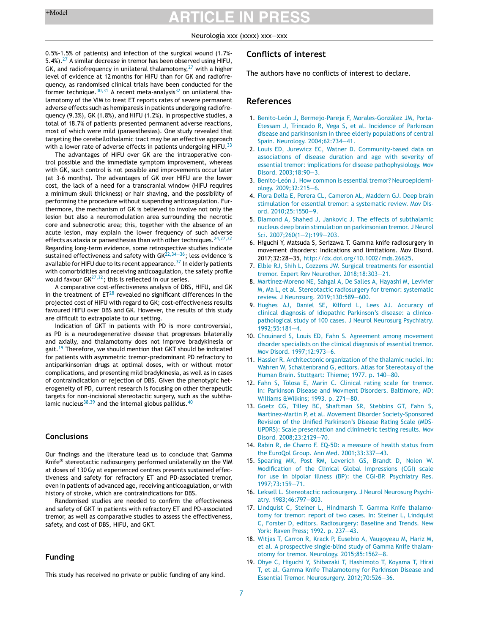#### Neurología xxx (xxxx) xxx—xxx

<span id="page-6-0"></span>0.5%-1.5% of patients) and infection of the surgical wound (1.7%- 5.4%).<sup>27</sup> A similar decrease in tremor has been observed using HIFU, GK, and radiofrequency in unilateral thalamotomy, $^{27}$  with a higher level of evidence at 12 months for HIFU than for GK and radiofrequency, as randomised clinical trials have been conducted for the former technique.<sup>30,31</sup> A recent meta-analysis<sup>[32](#page-7-0)</sup> on unilateral thalamotomy of the VIM to treat ET reports rates of severe permanent adverse effects such as hemiparesis in patients undergoing radiofrequency (9.3%), GK (1.8%), and HIFU (1.2%). In prospective studies, a total of 18.7% of patients presented permanent adverse reactions, most of which were mild (paraesthesias). One study revealed that targeting the cerebellothalamic tract may be an effective approach with a lower rate of adverse effects in patients undergoing HIFU.<sup>[33](#page-7-0)</sup>

The advantages of HIFU over GK are the intraoperative control possible and the immediate symptom improvement, whereas with GK, such control is not possible and improvements occur later (at 3-6 months). The advantages of GK over HIFU are the lower cost, the lack of a need for a transcranial window (HIFU requires a minimum skull thickness) or hair shaving, and the possibility of performing the procedure without suspending anticoagulation. Furthermore, the mechanism of GK is believed to involve not only the lesion but also a neuromodulation area surrounding the necrotic core and subnecrotic area; this, together with the absence of an acute lesion, may explain the lower frequency of such adverse effects as ataxia or paraesthesias than with other techniques.  $24,27,32$ Regarding long-term evidence, some retrospective studies indicate sustained effectiveness and safety with  $GK^{22,34-36}$ ; less evidence is available for HIFU due to its recent appearance.  $37$  In elderly patients with comorbidities and receiving anticoagulation, the safety profile would favour  $GK^{27,32}$ ; this is reflected in our series.

A comparative cost-effectiveness analysis of DBS, HIFU, and GK in the treatment of  $ET^{28}$  revealed no significant differences in the projected cost of HIFU with regard to GK; cost-effectiveness results favoured HIFU over DBS and GK. However, the results of this study are difficult to extrapolate to our setting.

Indication of GKT in patients with PD is more controversial, as PD is a neurodegenerative disease that progresses bilaterally and axially, and thalamotomy does not improve bradykinesia or gait.<sup>19</sup> Therefore, we should mention that GKT should be indicated for patients with asymmetric tremor-predominant PD refractory to antiparkinsonian drugs at optimal doses, with or without motor complications, and presenting mild bradykinesia, as well as in cases of contraindication or rejection of DBS. Given the phenotypic heterogeneity of PD, current research is focusing on other therapeutic targets for non-incisional stereotactic surgery, such as the subtha-lamic nucleus<sup>38,39</sup> and the internal globus pallidus.<sup>[40](#page-7-0)</sup>

### **Conclusions**

Our findings and the literature lead us to conclude that Gamma Knife® stereotactic radiosurgery performed unilaterally on the VIM at doses of 130Gy at experienced centres presents sustained effectiveness and safety for refractory ET and PD-associated tremor, even in patients of advanced age, receiving anticoagulation, or with history of stroke, which are contraindications for DBS.

Randomised studies are needed to confirm the effectiveness and safety of GKT in patients with refractory ET and PD-associated tremor, as well as comparative studies to assess the effectiveness, safety, and cost of DBS, HIFU, and GKT.

## **Funding**

This study has received no private or public funding of any kind.

### **Conflicts of interest**

The authors have no conflicts of interest to declare.

## **References**

- 1. [Benito-León](http://refhub.elsevier.com/S2173-5808(22)00023-2/sbref0005) [J,](http://refhub.elsevier.com/S2173-5808(22)00023-2/sbref0005) [Bermejo-Pareja](http://refhub.elsevier.com/S2173-5808(22)00023-2/sbref0005) [F,](http://refhub.elsevier.com/S2173-5808(22)00023-2/sbref0005) [Morales-González](http://refhub.elsevier.com/S2173-5808(22)00023-2/sbref0005) [JM,](http://refhub.elsevier.com/S2173-5808(22)00023-2/sbref0005) [Porta-](http://refhub.elsevier.com/S2173-5808(22)00023-2/sbref0005)[Etessam](http://refhub.elsevier.com/S2173-5808(22)00023-2/sbref0005) [J,](http://refhub.elsevier.com/S2173-5808(22)00023-2/sbref0005) [Trincado](http://refhub.elsevier.com/S2173-5808(22)00023-2/sbref0005) [R,](http://refhub.elsevier.com/S2173-5808(22)00023-2/sbref0005) [Vega](http://refhub.elsevier.com/S2173-5808(22)00023-2/sbref0005) [S,](http://refhub.elsevier.com/S2173-5808(22)00023-2/sbref0005) [et](http://refhub.elsevier.com/S2173-5808(22)00023-2/sbref0005) [al.](http://refhub.elsevier.com/S2173-5808(22)00023-2/sbref0005) [Incidence](http://refhub.elsevier.com/S2173-5808(22)00023-2/sbref0005) [of](http://refhub.elsevier.com/S2173-5808(22)00023-2/sbref0005) [Parkinson](http://refhub.elsevier.com/S2173-5808(22)00023-2/sbref0005) [disease](http://refhub.elsevier.com/S2173-5808(22)00023-2/sbref0005) [and](http://refhub.elsevier.com/S2173-5808(22)00023-2/sbref0005) [parkinsonism](http://refhub.elsevier.com/S2173-5808(22)00023-2/sbref0005) [in](http://refhub.elsevier.com/S2173-5808(22)00023-2/sbref0005) [three](http://refhub.elsevier.com/S2173-5808(22)00023-2/sbref0005) [elderly](http://refhub.elsevier.com/S2173-5808(22)00023-2/sbref0005) [populations](http://refhub.elsevier.com/S2173-5808(22)00023-2/sbref0005) [of](http://refhub.elsevier.com/S2173-5808(22)00023-2/sbref0005) [central](http://refhub.elsevier.com/S2173-5808(22)00023-2/sbref0005) [Spain.](http://refhub.elsevier.com/S2173-5808(22)00023-2/sbref0005) [Neurology.](http://refhub.elsevier.com/S2173-5808(22)00023-2/sbref0005) [2004;62:734—41.](http://refhub.elsevier.com/S2173-5808(22)00023-2/sbref0005)
- 2. [Louis](http://refhub.elsevier.com/S2173-5808(22)00023-2/sbref0010) [ED,](http://refhub.elsevier.com/S2173-5808(22)00023-2/sbref0010) [Jurewicz](http://refhub.elsevier.com/S2173-5808(22)00023-2/sbref0010) [EC,](http://refhub.elsevier.com/S2173-5808(22)00023-2/sbref0010) [Watner](http://refhub.elsevier.com/S2173-5808(22)00023-2/sbref0010) [D.](http://refhub.elsevier.com/S2173-5808(22)00023-2/sbref0010) [Community-based](http://refhub.elsevier.com/S2173-5808(22)00023-2/sbref0010) [data](http://refhub.elsevier.com/S2173-5808(22)00023-2/sbref0010) [on](http://refhub.elsevier.com/S2173-5808(22)00023-2/sbref0010) [associations](http://refhub.elsevier.com/S2173-5808(22)00023-2/sbref0010) [of](http://refhub.elsevier.com/S2173-5808(22)00023-2/sbref0010) [disease](http://refhub.elsevier.com/S2173-5808(22)00023-2/sbref0010) [duration](http://refhub.elsevier.com/S2173-5808(22)00023-2/sbref0010) [and](http://refhub.elsevier.com/S2173-5808(22)00023-2/sbref0010) [age](http://refhub.elsevier.com/S2173-5808(22)00023-2/sbref0010) [with](http://refhub.elsevier.com/S2173-5808(22)00023-2/sbref0010) [severity](http://refhub.elsevier.com/S2173-5808(22)00023-2/sbref0010) [of](http://refhub.elsevier.com/S2173-5808(22)00023-2/sbref0010) [essential](http://refhub.elsevier.com/S2173-5808(22)00023-2/sbref0010) [tremor:](http://refhub.elsevier.com/S2173-5808(22)00023-2/sbref0010) [implications](http://refhub.elsevier.com/S2173-5808(22)00023-2/sbref0010) [for](http://refhub.elsevier.com/S2173-5808(22)00023-2/sbref0010) [disease](http://refhub.elsevier.com/S2173-5808(22)00023-2/sbref0010) [pathophysiology.](http://refhub.elsevier.com/S2173-5808(22)00023-2/sbref0010) [Mov](http://refhub.elsevier.com/S2173-5808(22)00023-2/sbref0010) [Disord.](http://refhub.elsevier.com/S2173-5808(22)00023-2/sbref0010) [2003;18:90—3.](http://refhub.elsevier.com/S2173-5808(22)00023-2/sbref0010)
- 3. [Benito-León](http://refhub.elsevier.com/S2173-5808(22)00023-2/sbref0015) [J.](http://refhub.elsevier.com/S2173-5808(22)00023-2/sbref0015) [How](http://refhub.elsevier.com/S2173-5808(22)00023-2/sbref0015) [common](http://refhub.elsevier.com/S2173-5808(22)00023-2/sbref0015) [is](http://refhub.elsevier.com/S2173-5808(22)00023-2/sbref0015) [essential](http://refhub.elsevier.com/S2173-5808(22)00023-2/sbref0015) [tremor?](http://refhub.elsevier.com/S2173-5808(22)00023-2/sbref0015) [Neuroepidemi](http://refhub.elsevier.com/S2173-5808(22)00023-2/sbref0015)[ology.](http://refhub.elsevier.com/S2173-5808(22)00023-2/sbref0015) [2009;32:215](http://refhub.elsevier.com/S2173-5808(22)00023-2/sbref0015)—[6.](http://refhub.elsevier.com/S2173-5808(22)00023-2/sbref0015)
- 4. [Flora](http://refhub.elsevier.com/S2173-5808(22)00023-2/sbref0020) [Della](http://refhub.elsevier.com/S2173-5808(22)00023-2/sbref0020) [E,](http://refhub.elsevier.com/S2173-5808(22)00023-2/sbref0020) [Perera](http://refhub.elsevier.com/S2173-5808(22)00023-2/sbref0020) [CL,](http://refhub.elsevier.com/S2173-5808(22)00023-2/sbref0020) [Cameron](http://refhub.elsevier.com/S2173-5808(22)00023-2/sbref0020) [AL,](http://refhub.elsevier.com/S2173-5808(22)00023-2/sbref0020) [Maddern](http://refhub.elsevier.com/S2173-5808(22)00023-2/sbref0020) [GJ.](http://refhub.elsevier.com/S2173-5808(22)00023-2/sbref0020) [Deep](http://refhub.elsevier.com/S2173-5808(22)00023-2/sbref0020) [brain](http://refhub.elsevier.com/S2173-5808(22)00023-2/sbref0020) [stimulation](http://refhub.elsevier.com/S2173-5808(22)00023-2/sbref0020) [for](http://refhub.elsevier.com/S2173-5808(22)00023-2/sbref0020) [essential](http://refhub.elsevier.com/S2173-5808(22)00023-2/sbref0020) [tremor:](http://refhub.elsevier.com/S2173-5808(22)00023-2/sbref0020) [a](http://refhub.elsevier.com/S2173-5808(22)00023-2/sbref0020) [systematic](http://refhub.elsevier.com/S2173-5808(22)00023-2/sbref0020) [review.](http://refhub.elsevier.com/S2173-5808(22)00023-2/sbref0020) [Mov](http://refhub.elsevier.com/S2173-5808(22)00023-2/sbref0020) [Dis](http://refhub.elsevier.com/S2173-5808(22)00023-2/sbref0020)[ord.](http://refhub.elsevier.com/S2173-5808(22)00023-2/sbref0020) [2010;25:1550—9.](http://refhub.elsevier.com/S2173-5808(22)00023-2/sbref0020)
- 5. [Diamond](http://refhub.elsevier.com/S2173-5808(22)00023-2/sbref0025) [A,](http://refhub.elsevier.com/S2173-5808(22)00023-2/sbref0025) [Shahed](http://refhub.elsevier.com/S2173-5808(22)00023-2/sbref0025) [J,](http://refhub.elsevier.com/S2173-5808(22)00023-2/sbref0025) [Jankovic](http://refhub.elsevier.com/S2173-5808(22)00023-2/sbref0025) [J.](http://refhub.elsevier.com/S2173-5808(22)00023-2/sbref0025) [The](http://refhub.elsevier.com/S2173-5808(22)00023-2/sbref0025) [effects](http://refhub.elsevier.com/S2173-5808(22)00023-2/sbref0025) [of](http://refhub.elsevier.com/S2173-5808(22)00023-2/sbref0025) [subthalamic](http://refhub.elsevier.com/S2173-5808(22)00023-2/sbref0025) [nucleus](http://refhub.elsevier.com/S2173-5808(22)00023-2/sbref0025) [deep](http://refhub.elsevier.com/S2173-5808(22)00023-2/sbref0025) [brain](http://refhub.elsevier.com/S2173-5808(22)00023-2/sbref0025) [stimulation](http://refhub.elsevier.com/S2173-5808(22)00023-2/sbref0025) [on](http://refhub.elsevier.com/S2173-5808(22)00023-2/sbref0025) [parkinsonian](http://refhub.elsevier.com/S2173-5808(22)00023-2/sbref0025) [tremor.](http://refhub.elsevier.com/S2173-5808(22)00023-2/sbref0025) [J](http://refhub.elsevier.com/S2173-5808(22)00023-2/sbref0025) [Neurol](http://refhub.elsevier.com/S2173-5808(22)00023-2/sbref0025) [Sci.](http://refhub.elsevier.com/S2173-5808(22)00023-2/sbref0025) [2007;260\(1](http://refhub.elsevier.com/S2173-5808(22)00023-2/sbref0025)—[2\):199](http://refhub.elsevier.com/S2173-5808(22)00023-2/sbref0025)—[203.](http://refhub.elsevier.com/S2173-5808(22)00023-2/sbref0025)
- 6. Higuchi Y, Matsuda S, Serizawa T. Gamma knife radiosurgery in movement disorders: Indications and limitations. Mov Disord. 2017;32:28—35, [http://dx.doi.org/10.1002/mds.26625](dx.doi.org/10.1002/mds.26625).
- 7. [Elble](http://refhub.elsevier.com/S2173-5808(22)00023-2/sbref0035) [RJ,](http://refhub.elsevier.com/S2173-5808(22)00023-2/sbref0035) [Shih](http://refhub.elsevier.com/S2173-5808(22)00023-2/sbref0035) [L,](http://refhub.elsevier.com/S2173-5808(22)00023-2/sbref0035) [Cozzens](http://refhub.elsevier.com/S2173-5808(22)00023-2/sbref0035) [JW.](http://refhub.elsevier.com/S2173-5808(22)00023-2/sbref0035) [Surgical](http://refhub.elsevier.com/S2173-5808(22)00023-2/sbref0035) [treatments](http://refhub.elsevier.com/S2173-5808(22)00023-2/sbref0035) [for](http://refhub.elsevier.com/S2173-5808(22)00023-2/sbref0035) [essential](http://refhub.elsevier.com/S2173-5808(22)00023-2/sbref0035) [tremor.](http://refhub.elsevier.com/S2173-5808(22)00023-2/sbref0035) [Expert](http://refhub.elsevier.com/S2173-5808(22)00023-2/sbref0035) [Rev](http://refhub.elsevier.com/S2173-5808(22)00023-2/sbref0035) [Neurother.](http://refhub.elsevier.com/S2173-5808(22)00023-2/sbref0035) [2018;18:303—21.](http://refhub.elsevier.com/S2173-5808(22)00023-2/sbref0035)
- 8. [Martínez-Moreno](http://refhub.elsevier.com/S2173-5808(22)00023-2/sbref0040) [NE,](http://refhub.elsevier.com/S2173-5808(22)00023-2/sbref0040) [Sahgal](http://refhub.elsevier.com/S2173-5808(22)00023-2/sbref0040) [A,](http://refhub.elsevier.com/S2173-5808(22)00023-2/sbref0040) [De](http://refhub.elsevier.com/S2173-5808(22)00023-2/sbref0040) [Salles](http://refhub.elsevier.com/S2173-5808(22)00023-2/sbref0040) [A,](http://refhub.elsevier.com/S2173-5808(22)00023-2/sbref0040) [Hayashi](http://refhub.elsevier.com/S2173-5808(22)00023-2/sbref0040) [M,](http://refhub.elsevier.com/S2173-5808(22)00023-2/sbref0040) [Levivier](http://refhub.elsevier.com/S2173-5808(22)00023-2/sbref0040) [M,](http://refhub.elsevier.com/S2173-5808(22)00023-2/sbref0040) [Ma](http://refhub.elsevier.com/S2173-5808(22)00023-2/sbref0040) [L,](http://refhub.elsevier.com/S2173-5808(22)00023-2/sbref0040) [et](http://refhub.elsevier.com/S2173-5808(22)00023-2/sbref0040) [al.](http://refhub.elsevier.com/S2173-5808(22)00023-2/sbref0040) [Stereotactic](http://refhub.elsevier.com/S2173-5808(22)00023-2/sbref0040) [radiosurgery](http://refhub.elsevier.com/S2173-5808(22)00023-2/sbref0040) [for](http://refhub.elsevier.com/S2173-5808(22)00023-2/sbref0040) [tremor:](http://refhub.elsevier.com/S2173-5808(22)00023-2/sbref0040) [systematic](http://refhub.elsevier.com/S2173-5808(22)00023-2/sbref0040) [review.](http://refhub.elsevier.com/S2173-5808(22)00023-2/sbref0040) [J](http://refhub.elsevier.com/S2173-5808(22)00023-2/sbref0040) [Neurosurg.](http://refhub.elsevier.com/S2173-5808(22)00023-2/sbref0040) [2019;130:589—600.](http://refhub.elsevier.com/S2173-5808(22)00023-2/sbref0040)
- 9. [Hughes](http://refhub.elsevier.com/S2173-5808(22)00023-2/sbref0045) [AJ,](http://refhub.elsevier.com/S2173-5808(22)00023-2/sbref0045) [Daniel](http://refhub.elsevier.com/S2173-5808(22)00023-2/sbref0045) [SE,](http://refhub.elsevier.com/S2173-5808(22)00023-2/sbref0045) [Kilford](http://refhub.elsevier.com/S2173-5808(22)00023-2/sbref0045) [L,](http://refhub.elsevier.com/S2173-5808(22)00023-2/sbref0045) [Lees](http://refhub.elsevier.com/S2173-5808(22)00023-2/sbref0045) [AJ.](http://refhub.elsevier.com/S2173-5808(22)00023-2/sbref0045) [Accuracy](http://refhub.elsevier.com/S2173-5808(22)00023-2/sbref0045) [of](http://refhub.elsevier.com/S2173-5808(22)00023-2/sbref0045) [clinical](http://refhub.elsevier.com/S2173-5808(22)00023-2/sbref0045) [diagnosis](http://refhub.elsevier.com/S2173-5808(22)00023-2/sbref0045) [of](http://refhub.elsevier.com/S2173-5808(22)00023-2/sbref0045) [idiopathic](http://refhub.elsevier.com/S2173-5808(22)00023-2/sbref0045) [Parkinson's](http://refhub.elsevier.com/S2173-5808(22)00023-2/sbref0045) [disease:](http://refhub.elsevier.com/S2173-5808(22)00023-2/sbref0045) [a](http://refhub.elsevier.com/S2173-5808(22)00023-2/sbref0045) [clinico](http://refhub.elsevier.com/S2173-5808(22)00023-2/sbref0045)[pathological](http://refhub.elsevier.com/S2173-5808(22)00023-2/sbref0045) [study](http://refhub.elsevier.com/S2173-5808(22)00023-2/sbref0045) [of](http://refhub.elsevier.com/S2173-5808(22)00023-2/sbref0045) [100](http://refhub.elsevier.com/S2173-5808(22)00023-2/sbref0045) [cases.](http://refhub.elsevier.com/S2173-5808(22)00023-2/sbref0045) [J](http://refhub.elsevier.com/S2173-5808(22)00023-2/sbref0045) [Neurol](http://refhub.elsevier.com/S2173-5808(22)00023-2/sbref0045) [Neurosurg](http://refhub.elsevier.com/S2173-5808(22)00023-2/sbref0045) [Psychiatry.](http://refhub.elsevier.com/S2173-5808(22)00023-2/sbref0045) [1992;55:181—4.](http://refhub.elsevier.com/S2173-5808(22)00023-2/sbref0045)
- 10. [Chouinard](http://refhub.elsevier.com/S2173-5808(22)00023-2/sbref0050) [S,](http://refhub.elsevier.com/S2173-5808(22)00023-2/sbref0050) [Louis](http://refhub.elsevier.com/S2173-5808(22)00023-2/sbref0050) [ED,](http://refhub.elsevier.com/S2173-5808(22)00023-2/sbref0050) [Fahn](http://refhub.elsevier.com/S2173-5808(22)00023-2/sbref0050) [S.](http://refhub.elsevier.com/S2173-5808(22)00023-2/sbref0050) [Agreement](http://refhub.elsevier.com/S2173-5808(22)00023-2/sbref0050) [among](http://refhub.elsevier.com/S2173-5808(22)00023-2/sbref0050) [movement](http://refhub.elsevier.com/S2173-5808(22)00023-2/sbref0050) [disorder](http://refhub.elsevier.com/S2173-5808(22)00023-2/sbref0050) [specialists](http://refhub.elsevier.com/S2173-5808(22)00023-2/sbref0050) [on](http://refhub.elsevier.com/S2173-5808(22)00023-2/sbref0050) [the](http://refhub.elsevier.com/S2173-5808(22)00023-2/sbref0050) [clinical](http://refhub.elsevier.com/S2173-5808(22)00023-2/sbref0050) [diagnosis](http://refhub.elsevier.com/S2173-5808(22)00023-2/sbref0050) [of](http://refhub.elsevier.com/S2173-5808(22)00023-2/sbref0050) [essential](http://refhub.elsevier.com/S2173-5808(22)00023-2/sbref0050) [tremor.](http://refhub.elsevier.com/S2173-5808(22)00023-2/sbref0050) [Mov](http://refhub.elsevier.com/S2173-5808(22)00023-2/sbref0050) [Disord.](http://refhub.elsevier.com/S2173-5808(22)00023-2/sbref0050) [1997;12:973—6.](http://refhub.elsevier.com/S2173-5808(22)00023-2/sbref0050)
- 11. [Hassler](http://refhub.elsevier.com/S2173-5808(22)00023-2/sbref0055) [R.](http://refhub.elsevier.com/S2173-5808(22)00023-2/sbref0055) [Architectonic](http://refhub.elsevier.com/S2173-5808(22)00023-2/sbref0055) [organization](http://refhub.elsevier.com/S2173-5808(22)00023-2/sbref0055) [of](http://refhub.elsevier.com/S2173-5808(22)00023-2/sbref0055) [the](http://refhub.elsevier.com/S2173-5808(22)00023-2/sbref0055) [thalamic](http://refhub.elsevier.com/S2173-5808(22)00023-2/sbref0055) [nuclei.](http://refhub.elsevier.com/S2173-5808(22)00023-2/sbref0055) [In:](http://refhub.elsevier.com/S2173-5808(22)00023-2/sbref0055) [Wahren](http://refhub.elsevier.com/S2173-5808(22)00023-2/sbref0055) [W,](http://refhub.elsevier.com/S2173-5808(22)00023-2/sbref0055) [Schaltenbrand](http://refhub.elsevier.com/S2173-5808(22)00023-2/sbref0055) [G,](http://refhub.elsevier.com/S2173-5808(22)00023-2/sbref0055) [editors.](http://refhub.elsevier.com/S2173-5808(22)00023-2/sbref0055) [Atlas](http://refhub.elsevier.com/S2173-5808(22)00023-2/sbref0055) [for](http://refhub.elsevier.com/S2173-5808(22)00023-2/sbref0055) [Stereotaxy](http://refhub.elsevier.com/S2173-5808(22)00023-2/sbref0055) [of](http://refhub.elsevier.com/S2173-5808(22)00023-2/sbref0055) [the](http://refhub.elsevier.com/S2173-5808(22)00023-2/sbref0055) [Human](http://refhub.elsevier.com/S2173-5808(22)00023-2/sbref0055) [Brain.](http://refhub.elsevier.com/S2173-5808(22)00023-2/sbref0055) [Stuttgart:](http://refhub.elsevier.com/S2173-5808(22)00023-2/sbref0055) [Thieme;](http://refhub.elsevier.com/S2173-5808(22)00023-2/sbref0055) [1977.](http://refhub.elsevier.com/S2173-5808(22)00023-2/sbref0055) [p.](http://refhub.elsevier.com/S2173-5808(22)00023-2/sbref0055) [140](http://refhub.elsevier.com/S2173-5808(22)00023-2/sbref0055)—[80.](http://refhub.elsevier.com/S2173-5808(22)00023-2/sbref0055)
- 12. [Fahn](http://refhub.elsevier.com/S2173-5808(22)00023-2/sbref0060) [S,](http://refhub.elsevier.com/S2173-5808(22)00023-2/sbref0060) [Tolosa](http://refhub.elsevier.com/S2173-5808(22)00023-2/sbref0060) [E,](http://refhub.elsevier.com/S2173-5808(22)00023-2/sbref0060) [Marin](http://refhub.elsevier.com/S2173-5808(22)00023-2/sbref0060) [C.](http://refhub.elsevier.com/S2173-5808(22)00023-2/sbref0060) [Clinical](http://refhub.elsevier.com/S2173-5808(22)00023-2/sbref0060) [rating](http://refhub.elsevier.com/S2173-5808(22)00023-2/sbref0060) [scale](http://refhub.elsevier.com/S2173-5808(22)00023-2/sbref0060) [for](http://refhub.elsevier.com/S2173-5808(22)00023-2/sbref0060) [tremor.](http://refhub.elsevier.com/S2173-5808(22)00023-2/sbref0060) [In:](http://refhub.elsevier.com/S2173-5808(22)00023-2/sbref0060) [Parkinson](http://refhub.elsevier.com/S2173-5808(22)00023-2/sbref0060) [Disease](http://refhub.elsevier.com/S2173-5808(22)00023-2/sbref0060) [and](http://refhub.elsevier.com/S2173-5808(22)00023-2/sbref0060) [Movment](http://refhub.elsevier.com/S2173-5808(22)00023-2/sbref0060) [Disorders.](http://refhub.elsevier.com/S2173-5808(22)00023-2/sbref0060) [Baltimore,](http://refhub.elsevier.com/S2173-5808(22)00023-2/sbref0060) [MD:](http://refhub.elsevier.com/S2173-5808(22)00023-2/sbref0060) [Williams](http://refhub.elsevier.com/S2173-5808(22)00023-2/sbref0060) [&Wilkins;](http://refhub.elsevier.com/S2173-5808(22)00023-2/sbref0060) [1993.](http://refhub.elsevier.com/S2173-5808(22)00023-2/sbref0060) [p.](http://refhub.elsevier.com/S2173-5808(22)00023-2/sbref0060) [271](http://refhub.elsevier.com/S2173-5808(22)00023-2/sbref0060)—[80.](http://refhub.elsevier.com/S2173-5808(22)00023-2/sbref0060)
- 13. [Goetz](http://refhub.elsevier.com/S2173-5808(22)00023-2/sbref0065) [CG,](http://refhub.elsevier.com/S2173-5808(22)00023-2/sbref0065) [Tilley](http://refhub.elsevier.com/S2173-5808(22)00023-2/sbref0065) [BC,](http://refhub.elsevier.com/S2173-5808(22)00023-2/sbref0065) [Shaftman](http://refhub.elsevier.com/S2173-5808(22)00023-2/sbref0065) [SR,](http://refhub.elsevier.com/S2173-5808(22)00023-2/sbref0065) [Stebbins](http://refhub.elsevier.com/S2173-5808(22)00023-2/sbref0065) [GT,](http://refhub.elsevier.com/S2173-5808(22)00023-2/sbref0065) [Fahn](http://refhub.elsevier.com/S2173-5808(22)00023-2/sbref0065) [S,](http://refhub.elsevier.com/S2173-5808(22)00023-2/sbref0065) [Martinez-Martin](http://refhub.elsevier.com/S2173-5808(22)00023-2/sbref0065) [P,](http://refhub.elsevier.com/S2173-5808(22)00023-2/sbref0065) [et](http://refhub.elsevier.com/S2173-5808(22)00023-2/sbref0065) [al.](http://refhub.elsevier.com/S2173-5808(22)00023-2/sbref0065) [Movement](http://refhub.elsevier.com/S2173-5808(22)00023-2/sbref0065) [Disorder](http://refhub.elsevier.com/S2173-5808(22)00023-2/sbref0065) [Society-Sponsored](http://refhub.elsevier.com/S2173-5808(22)00023-2/sbref0065) [Revision](http://refhub.elsevier.com/S2173-5808(22)00023-2/sbref0065) [of](http://refhub.elsevier.com/S2173-5808(22)00023-2/sbref0065) [the](http://refhub.elsevier.com/S2173-5808(22)00023-2/sbref0065) [Unified](http://refhub.elsevier.com/S2173-5808(22)00023-2/sbref0065) [Parkinson's](http://refhub.elsevier.com/S2173-5808(22)00023-2/sbref0065) [Disease](http://refhub.elsevier.com/S2173-5808(22)00023-2/sbref0065) [Rating](http://refhub.elsevier.com/S2173-5808(22)00023-2/sbref0065) [Scale](http://refhub.elsevier.com/S2173-5808(22)00023-2/sbref0065) [\(MDS-](http://refhub.elsevier.com/S2173-5808(22)00023-2/sbref0065)[UPDRS\):](http://refhub.elsevier.com/S2173-5808(22)00023-2/sbref0065) [Scale](http://refhub.elsevier.com/S2173-5808(22)00023-2/sbref0065) [presentation](http://refhub.elsevier.com/S2173-5808(22)00023-2/sbref0065) [and](http://refhub.elsevier.com/S2173-5808(22)00023-2/sbref0065) [clinimetric](http://refhub.elsevier.com/S2173-5808(22)00023-2/sbref0065) [testing](http://refhub.elsevier.com/S2173-5808(22)00023-2/sbref0065) [results.](http://refhub.elsevier.com/S2173-5808(22)00023-2/sbref0065) [Mov](http://refhub.elsevier.com/S2173-5808(22)00023-2/sbref0065) [Disord.](http://refhub.elsevier.com/S2173-5808(22)00023-2/sbref0065) [2008;23:2129](http://refhub.elsevier.com/S2173-5808(22)00023-2/sbref0065)—[70.](http://refhub.elsevier.com/S2173-5808(22)00023-2/sbref0065)
- 14. [Rabin](http://refhub.elsevier.com/S2173-5808(22)00023-2/sbref0070) [R,](http://refhub.elsevier.com/S2173-5808(22)00023-2/sbref0070) [de](http://refhub.elsevier.com/S2173-5808(22)00023-2/sbref0070) [Charro](http://refhub.elsevier.com/S2173-5808(22)00023-2/sbref0070) [F.](http://refhub.elsevier.com/S2173-5808(22)00023-2/sbref0070) [EQ-5D:](http://refhub.elsevier.com/S2173-5808(22)00023-2/sbref0070) [a](http://refhub.elsevier.com/S2173-5808(22)00023-2/sbref0070) [measure](http://refhub.elsevier.com/S2173-5808(22)00023-2/sbref0070) [of](http://refhub.elsevier.com/S2173-5808(22)00023-2/sbref0070) [health](http://refhub.elsevier.com/S2173-5808(22)00023-2/sbref0070) [status](http://refhub.elsevier.com/S2173-5808(22)00023-2/sbref0070) [from](http://refhub.elsevier.com/S2173-5808(22)00023-2/sbref0070) [the](http://refhub.elsevier.com/S2173-5808(22)00023-2/sbref0070) [EuroQol](http://refhub.elsevier.com/S2173-5808(22)00023-2/sbref0070) [Group.](http://refhub.elsevier.com/S2173-5808(22)00023-2/sbref0070) [Ann](http://refhub.elsevier.com/S2173-5808(22)00023-2/sbref0070) [Med.](http://refhub.elsevier.com/S2173-5808(22)00023-2/sbref0070) [2001;33:337—43.](http://refhub.elsevier.com/S2173-5808(22)00023-2/sbref0070)
- 15. [Spearing](http://refhub.elsevier.com/S2173-5808(22)00023-2/sbref0075) [MK,](http://refhub.elsevier.com/S2173-5808(22)00023-2/sbref0075) [Post](http://refhub.elsevier.com/S2173-5808(22)00023-2/sbref0075) [RM,](http://refhub.elsevier.com/S2173-5808(22)00023-2/sbref0075) [Leverich](http://refhub.elsevier.com/S2173-5808(22)00023-2/sbref0075) [GS,](http://refhub.elsevier.com/S2173-5808(22)00023-2/sbref0075) [Brandt](http://refhub.elsevier.com/S2173-5808(22)00023-2/sbref0075) [D,](http://refhub.elsevier.com/S2173-5808(22)00023-2/sbref0075) [Nolen](http://refhub.elsevier.com/S2173-5808(22)00023-2/sbref0075) [W.](http://refhub.elsevier.com/S2173-5808(22)00023-2/sbref0075) [Modification](http://refhub.elsevier.com/S2173-5808(22)00023-2/sbref0075) [of](http://refhub.elsevier.com/S2173-5808(22)00023-2/sbref0075) [the](http://refhub.elsevier.com/S2173-5808(22)00023-2/sbref0075) [Clinical](http://refhub.elsevier.com/S2173-5808(22)00023-2/sbref0075) [Global](http://refhub.elsevier.com/S2173-5808(22)00023-2/sbref0075) [Impressions](http://refhub.elsevier.com/S2173-5808(22)00023-2/sbref0075) [\(CGI\)](http://refhub.elsevier.com/S2173-5808(22)00023-2/sbref0075) [scale](http://refhub.elsevier.com/S2173-5808(22)00023-2/sbref0075) [for](http://refhub.elsevier.com/S2173-5808(22)00023-2/sbref0075) [use](http://refhub.elsevier.com/S2173-5808(22)00023-2/sbref0075) [in](http://refhub.elsevier.com/S2173-5808(22)00023-2/sbref0075) [bipolar](http://refhub.elsevier.com/S2173-5808(22)00023-2/sbref0075) [illness](http://refhub.elsevier.com/S2173-5808(22)00023-2/sbref0075) [\(BP\):](http://refhub.elsevier.com/S2173-5808(22)00023-2/sbref0075) [the](http://refhub.elsevier.com/S2173-5808(22)00023-2/sbref0075) [CGI-BP.](http://refhub.elsevier.com/S2173-5808(22)00023-2/sbref0075) [Psychiatry](http://refhub.elsevier.com/S2173-5808(22)00023-2/sbref0075) [Res.](http://refhub.elsevier.com/S2173-5808(22)00023-2/sbref0075) [1997;73:159—71.](http://refhub.elsevier.com/S2173-5808(22)00023-2/sbref0075)
- 16. [Leksell](http://refhub.elsevier.com/S2173-5808(22)00023-2/sbref0080) [L.](http://refhub.elsevier.com/S2173-5808(22)00023-2/sbref0080) [Stereotactic](http://refhub.elsevier.com/S2173-5808(22)00023-2/sbref0080) [radiosurgery.](http://refhub.elsevier.com/S2173-5808(22)00023-2/sbref0080) [J](http://refhub.elsevier.com/S2173-5808(22)00023-2/sbref0080) [Neurol](http://refhub.elsevier.com/S2173-5808(22)00023-2/sbref0080) [Neurosurg](http://refhub.elsevier.com/S2173-5808(22)00023-2/sbref0080) [Psychi](http://refhub.elsevier.com/S2173-5808(22)00023-2/sbref0080)[atry.](http://refhub.elsevier.com/S2173-5808(22)00023-2/sbref0080) [1983;46:797—803.](http://refhub.elsevier.com/S2173-5808(22)00023-2/sbref0080)
- 17. [Lindquist](http://refhub.elsevier.com/S2173-5808(22)00023-2/sbref0085) [C,](http://refhub.elsevier.com/S2173-5808(22)00023-2/sbref0085) [Steiner](http://refhub.elsevier.com/S2173-5808(22)00023-2/sbref0085) [L,](http://refhub.elsevier.com/S2173-5808(22)00023-2/sbref0085) [Hindmarsh](http://refhub.elsevier.com/S2173-5808(22)00023-2/sbref0085) [T.](http://refhub.elsevier.com/S2173-5808(22)00023-2/sbref0085) [Gamma](http://refhub.elsevier.com/S2173-5808(22)00023-2/sbref0085) [Knife](http://refhub.elsevier.com/S2173-5808(22)00023-2/sbref0085) [thalamo](http://refhub.elsevier.com/S2173-5808(22)00023-2/sbref0085)[tomy](http://refhub.elsevier.com/S2173-5808(22)00023-2/sbref0085) [for](http://refhub.elsevier.com/S2173-5808(22)00023-2/sbref0085) [tremor:](http://refhub.elsevier.com/S2173-5808(22)00023-2/sbref0085) [report](http://refhub.elsevier.com/S2173-5808(22)00023-2/sbref0085) [of](http://refhub.elsevier.com/S2173-5808(22)00023-2/sbref0085) [two](http://refhub.elsevier.com/S2173-5808(22)00023-2/sbref0085) [cases.](http://refhub.elsevier.com/S2173-5808(22)00023-2/sbref0085) [In:](http://refhub.elsevier.com/S2173-5808(22)00023-2/sbref0085) [Steiner](http://refhub.elsevier.com/S2173-5808(22)00023-2/sbref0085) [L,](http://refhub.elsevier.com/S2173-5808(22)00023-2/sbref0085) [Lindquist](http://refhub.elsevier.com/S2173-5808(22)00023-2/sbref0085) [C,](http://refhub.elsevier.com/S2173-5808(22)00023-2/sbref0085) [Forster](http://refhub.elsevier.com/S2173-5808(22)00023-2/sbref0085) [D,](http://refhub.elsevier.com/S2173-5808(22)00023-2/sbref0085) [editors.](http://refhub.elsevier.com/S2173-5808(22)00023-2/sbref0085) [Radiosurgery:](http://refhub.elsevier.com/S2173-5808(22)00023-2/sbref0085) [Baseline](http://refhub.elsevier.com/S2173-5808(22)00023-2/sbref0085) [and](http://refhub.elsevier.com/S2173-5808(22)00023-2/sbref0085) [Trends.](http://refhub.elsevier.com/S2173-5808(22)00023-2/sbref0085) [New](http://refhub.elsevier.com/S2173-5808(22)00023-2/sbref0085) [York:](http://refhub.elsevier.com/S2173-5808(22)00023-2/sbref0085) [Raven](http://refhub.elsevier.com/S2173-5808(22)00023-2/sbref0085) [Press;](http://refhub.elsevier.com/S2173-5808(22)00023-2/sbref0085) [1992.](http://refhub.elsevier.com/S2173-5808(22)00023-2/sbref0085) [p.](http://refhub.elsevier.com/S2173-5808(22)00023-2/sbref0085) [237—43.](http://refhub.elsevier.com/S2173-5808(22)00023-2/sbref0085)
- 18. [Witjas](http://refhub.elsevier.com/S2173-5808(22)00023-2/sbref0090) [T,](http://refhub.elsevier.com/S2173-5808(22)00023-2/sbref0090) [Carron](http://refhub.elsevier.com/S2173-5808(22)00023-2/sbref0090) [R,](http://refhub.elsevier.com/S2173-5808(22)00023-2/sbref0090) [Krack](http://refhub.elsevier.com/S2173-5808(22)00023-2/sbref0090) [P,](http://refhub.elsevier.com/S2173-5808(22)00023-2/sbref0090) [Eusebio](http://refhub.elsevier.com/S2173-5808(22)00023-2/sbref0090) [A,](http://refhub.elsevier.com/S2173-5808(22)00023-2/sbref0090) [Vaugoyeau](http://refhub.elsevier.com/S2173-5808(22)00023-2/sbref0090) [M,](http://refhub.elsevier.com/S2173-5808(22)00023-2/sbref0090) [Hariz](http://refhub.elsevier.com/S2173-5808(22)00023-2/sbref0090) [M,](http://refhub.elsevier.com/S2173-5808(22)00023-2/sbref0090) [et](http://refhub.elsevier.com/S2173-5808(22)00023-2/sbref0090) [al.](http://refhub.elsevier.com/S2173-5808(22)00023-2/sbref0090) [A](http://refhub.elsevier.com/S2173-5808(22)00023-2/sbref0090) [prospective](http://refhub.elsevier.com/S2173-5808(22)00023-2/sbref0090) [single-blind](http://refhub.elsevier.com/S2173-5808(22)00023-2/sbref0090) [study](http://refhub.elsevier.com/S2173-5808(22)00023-2/sbref0090) [of](http://refhub.elsevier.com/S2173-5808(22)00023-2/sbref0090) [Gamma](http://refhub.elsevier.com/S2173-5808(22)00023-2/sbref0090) [Knife](http://refhub.elsevier.com/S2173-5808(22)00023-2/sbref0090) [thalam](http://refhub.elsevier.com/S2173-5808(22)00023-2/sbref0090)[otomy](http://refhub.elsevier.com/S2173-5808(22)00023-2/sbref0090) [for](http://refhub.elsevier.com/S2173-5808(22)00023-2/sbref0090) [tremor.](http://refhub.elsevier.com/S2173-5808(22)00023-2/sbref0090) [Neurology.](http://refhub.elsevier.com/S2173-5808(22)00023-2/sbref0090) [2015;85:1562](http://refhub.elsevier.com/S2173-5808(22)00023-2/sbref0090)—[8.](http://refhub.elsevier.com/S2173-5808(22)00023-2/sbref0090)
- 19. [Ohye](http://refhub.elsevier.com/S2173-5808(22)00023-2/sbref0095) [C,](http://refhub.elsevier.com/S2173-5808(22)00023-2/sbref0095) [Higuchi](http://refhub.elsevier.com/S2173-5808(22)00023-2/sbref0095) [Y,](http://refhub.elsevier.com/S2173-5808(22)00023-2/sbref0095) [Shibazaki](http://refhub.elsevier.com/S2173-5808(22)00023-2/sbref0095) [T,](http://refhub.elsevier.com/S2173-5808(22)00023-2/sbref0095) [Hashimoto](http://refhub.elsevier.com/S2173-5808(22)00023-2/sbref0095) [T,](http://refhub.elsevier.com/S2173-5808(22)00023-2/sbref0095) [Koyama](http://refhub.elsevier.com/S2173-5808(22)00023-2/sbref0095) [T,](http://refhub.elsevier.com/S2173-5808(22)00023-2/sbref0095) [Hirai](http://refhub.elsevier.com/S2173-5808(22)00023-2/sbref0095) [T,](http://refhub.elsevier.com/S2173-5808(22)00023-2/sbref0095) [et](http://refhub.elsevier.com/S2173-5808(22)00023-2/sbref0095) [al.](http://refhub.elsevier.com/S2173-5808(22)00023-2/sbref0095) [Gamma](http://refhub.elsevier.com/S2173-5808(22)00023-2/sbref0095) [Knife](http://refhub.elsevier.com/S2173-5808(22)00023-2/sbref0095) [Thalamotomy](http://refhub.elsevier.com/S2173-5808(22)00023-2/sbref0095) [for](http://refhub.elsevier.com/S2173-5808(22)00023-2/sbref0095) [Parkinson](http://refhub.elsevier.com/S2173-5808(22)00023-2/sbref0095) [Disease](http://refhub.elsevier.com/S2173-5808(22)00023-2/sbref0095) [and](http://refhub.elsevier.com/S2173-5808(22)00023-2/sbref0095) [Essential](http://refhub.elsevier.com/S2173-5808(22)00023-2/sbref0095) [Tremor.](http://refhub.elsevier.com/S2173-5808(22)00023-2/sbref0095) [Neurosurgery.](http://refhub.elsevier.com/S2173-5808(22)00023-2/sbref0095) [2012;70:526—36.](http://refhub.elsevier.com/S2173-5808(22)00023-2/sbref0095)